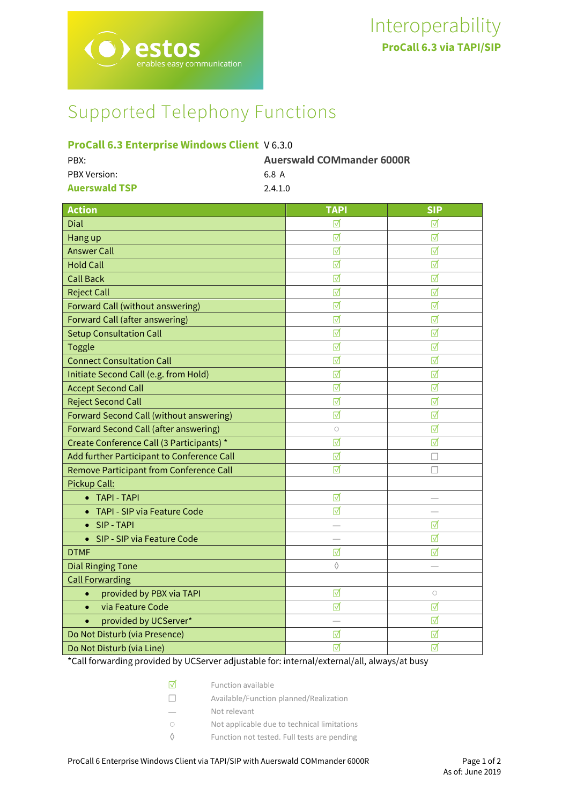# Supported Telephony Functions

# **ProCall 6.3 Enterprise Windows Client** V 6.3.0

| PBX:                 | <b>Auerswald COMmander 6000R</b> |
|----------------------|----------------------------------|
| PBX Version:         | 68 A                             |
| <b>Auerswald TSP</b> | 2.4.1.0                          |

| <b>Action</b>                                | <b>TAPI</b> | <b>SIP</b> |
|----------------------------------------------|-------------|------------|
| Dial                                         | ⊓           | ☑          |
| Hang up                                      | ☑           | ⊽          |
| <b>Answer Call</b>                           | ☑           | ☑          |
| <b>Hold Call</b>                             | ☑           | ☑          |
| <b>Call Back</b>                             | ☑           | ☑          |
| <b>Reject Call</b>                           | ☑           | ☑          |
| Forward Call (without answering)             | ⊺√          | ⊺√         |
| <b>Forward Call (after answering)</b>        | ☑           | ⊽          |
| <b>Setup Consultation Call</b>               | ☑           | ☑          |
| <b>Toggle</b>                                | ☑           | ☑          |
| <b>Connect Consultation Call</b>             | ☑           | ☑          |
| Initiate Second Call (e.g. from Hold)        | ☑           | ☑          |
| <b>Accept Second Call</b>                    | ☑           | ☑          |
| <b>Reject Second Call</b>                    | ☑           | ☑          |
| Forward Second Call (without answering)      | ☑           | ☑          |
| <b>Forward Second Call (after answering)</b> | $\circ$     | ☑          |
| Create Conference Call (3 Participants) *    | ☑           | ☑          |
| Add further Participant to Conference Call   | ☑           |            |
| Remove Participant from Conference Call      | ☑           | П          |
| Pickup Call:                                 |             |            |
| <b>TAPI - TAPI</b>                           | ☑           |            |
| TAPI - SIP via Feature Code                  | ☑           |            |
| SIP - TAPI<br>$\bullet$                      |             | ☑          |
| SIP - SIP via Feature Code<br>$\bullet$      |             | ☑          |
| <b>DTMF</b>                                  | ☑           | ☑          |
| <b>Dial Ringing Tone</b>                     | $\Diamond$  |            |
| <b>Call Forwarding</b>                       |             |            |
| provided by PBX via TAPI<br>$\bullet$        | ☑           | $\bigcirc$ |
| via Feature Code<br>$\bullet$                | ☑           | ☑          |
| provided by UCServer*<br>$\bullet$           |             | ☑          |
| Do Not Disturb (via Presence)                | ⊺⊽          | ⊺          |
| Do Not Disturb (via Line)                    | ⊺⊽          | ⊽          |

\*Call forwarding provided by UCServer adjustable for: internal/external/all, always/at busy

| Iм           | Function available                          |
|--------------|---------------------------------------------|
| $\mathbf{1}$ | Available/Function planned/Realization      |
|              | Not relevant                                |
| $\bigcap$    | Not applicable due to technical limitations |
|              | Function not tested. Full tests are pending |